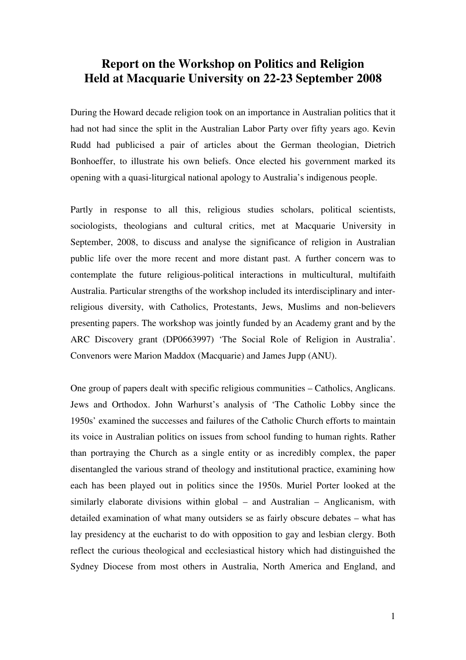## **Report on the Workshop on Politics and Religion Held at Macquarie University on 22-23 September 2008**

During the Howard decade religion took on an importance in Australian politics that it had not had since the split in the Australian Labor Party over fifty years ago. Kevin Rudd had publicised a pair of articles about the German theologian, Dietrich Bonhoeffer, to illustrate his own beliefs. Once elected his government marked its opening with a quasi-liturgical national apology to Australia's indigenous people.

Partly in response to all this, religious studies scholars, political scientists, sociologists, theologians and cultural critics, met at Macquarie University in September, 2008, to discuss and analyse the significance of religion in Australian public life over the more recent and more distant past. A further concern was to contemplate the future religious-political interactions in multicultural, multifaith Australia. Particular strengths of the workshop included its interdisciplinary and interreligious diversity, with Catholics, Protestants, Jews, Muslims and non-believers presenting papers. The workshop was jointly funded by an Academy grant and by the ARC Discovery grant (DP0663997) 'The Social Role of Religion in Australia'. Convenors were Marion Maddox (Macquarie) and James Jupp (ANU).

One group of papers dealt with specific religious communities – Catholics, Anglicans. Jews and Orthodox. John Warhurst's analysis of 'The Catholic Lobby since the 1950s' examined the successes and failures of the Catholic Church efforts to maintain its voice in Australian politics on issues from school funding to human rights. Rather than portraying the Church as a single entity or as incredibly complex, the paper disentangled the various strand of theology and institutional practice, examining how each has been played out in politics since the 1950s. Muriel Porter looked at the similarly elaborate divisions within global – and Australian – Anglicanism, with detailed examination of what many outsiders se as fairly obscure debates – what has lay presidency at the eucharist to do with opposition to gay and lesbian clergy. Both reflect the curious theological and ecclesiastical history which had distinguished the Sydney Diocese from most others in Australia, North America and England, and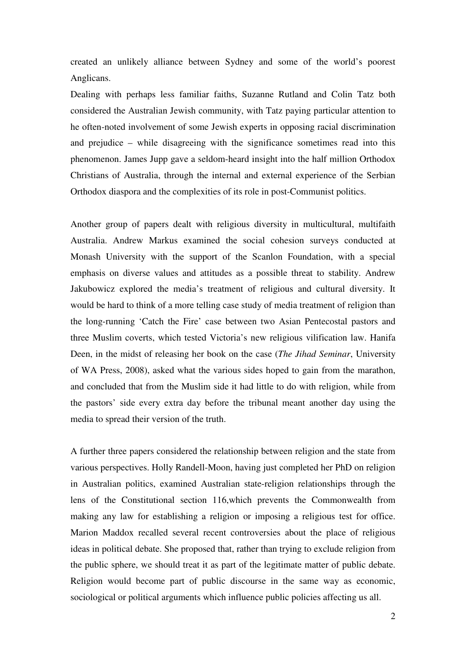created an unlikely alliance between Sydney and some of the world's poorest Anglicans.

Dealing with perhaps less familiar faiths, Suzanne Rutland and Colin Tatz both considered the Australian Jewish community, with Tatz paying particular attention to he often-noted involvement of some Jewish experts in opposing racial discrimination and prejudice – while disagreeing with the significance sometimes read into this phenomenon. James Jupp gave a seldom-heard insight into the half million Orthodox Christians of Australia, through the internal and external experience of the Serbian Orthodox diaspora and the complexities of its role in post-Communist politics.

Another group of papers dealt with religious diversity in multicultural, multifaith Australia. Andrew Markus examined the social cohesion surveys conducted at Monash University with the support of the Scanlon Foundation, with a special emphasis on diverse values and attitudes as a possible threat to stability. Andrew Jakubowicz explored the media's treatment of religious and cultural diversity. It would be hard to think of a more telling case study of media treatment of religion than the long-running 'Catch the Fire' case between two Asian Pentecostal pastors and three Muslim coverts, which tested Victoria's new religious vilification law. Hanifa Deen, in the midst of releasing her book on the case (*The Jihad Seminar*, University of WA Press, 2008), asked what the various sides hoped to gain from the marathon, and concluded that from the Muslim side it had little to do with religion, while from the pastors' side every extra day before the tribunal meant another day using the media to spread their version of the truth.

A further three papers considered the relationship between religion and the state from various perspectives. Holly Randell-Moon, having just completed her PhD on religion in Australian politics, examined Australian state-religion relationships through the lens of the Constitutional section 116,which prevents the Commonwealth from making any law for establishing a religion or imposing a religious test for office. Marion Maddox recalled several recent controversies about the place of religious ideas in political debate. She proposed that, rather than trying to exclude religion from the public sphere, we should treat it as part of the legitimate matter of public debate. Religion would become part of public discourse in the same way as economic, sociological or political arguments which influence public policies affecting us all.